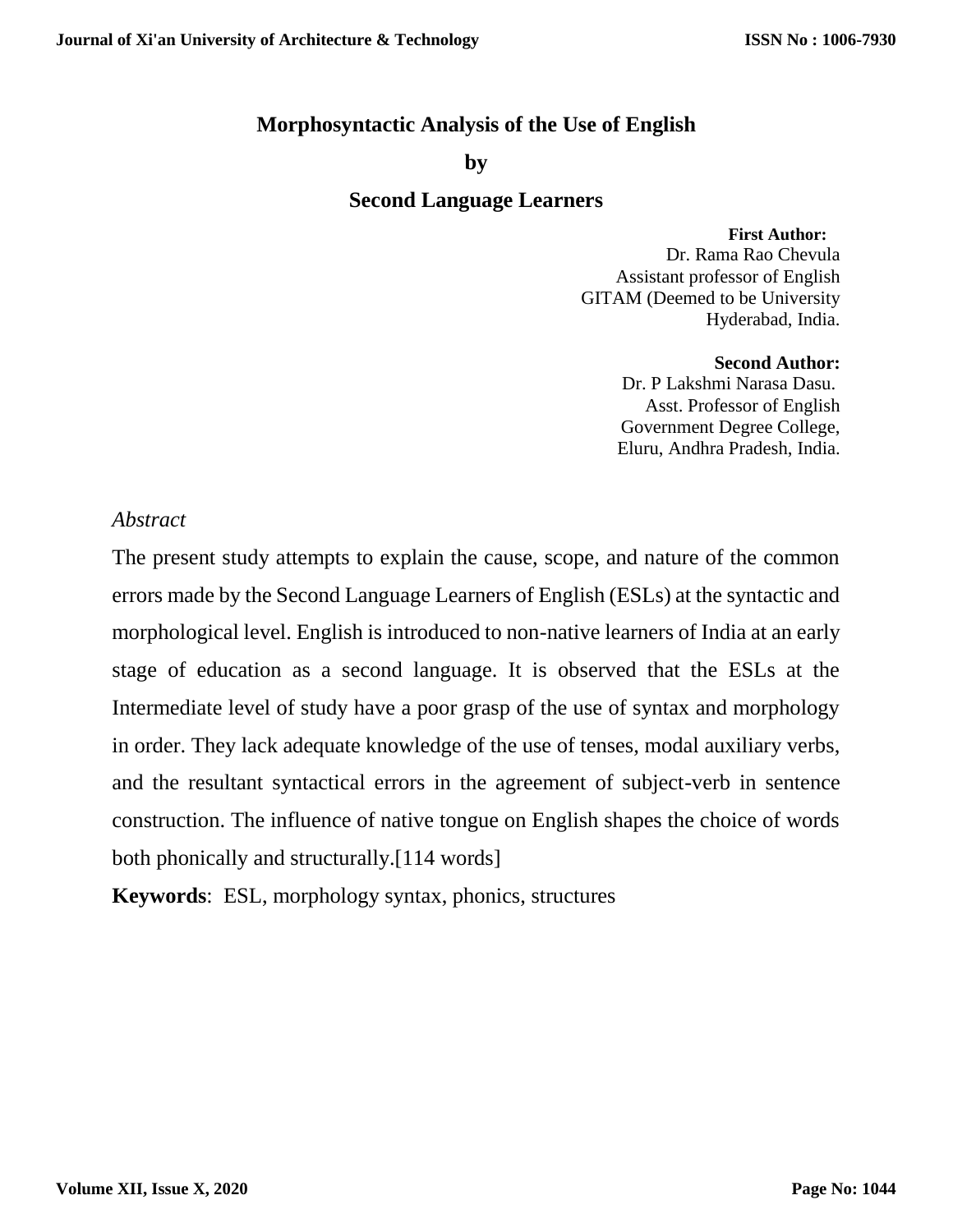### **Morphosyntactic Analysis of the Use of English**

#### **by**

# **Second Language Learners**

 **First Author:** Dr. Rama Rao Chevula Assistant professor of English GITAM (Deemed to be University Hyderabad, India.

**Second Author:**

Dr. P Lakshmi Narasa Dasu. Asst. Professor of English Government Degree College, Eluru, Andhra Pradesh, India.

### *Abstract*

The present study attempts to explain the cause, scope, and nature of the common errors made by the Second Language Learners of English (ESLs) at the syntactic and morphological level. English is introduced to non-native learners of India at an early stage of education as a second language. It is observed that the ESLs at the Intermediate level of study have a poor grasp of the use of syntax and morphology in order. They lack adequate knowledge of the use of tenses, modal auxiliary verbs, and the resultant syntactical errors in the agreement of subject-verb in sentence construction. The influence of native tongue on English shapes the choice of words both phonically and structurally.[114 words]

**Keywords**: ESL, morphology syntax, phonics, structures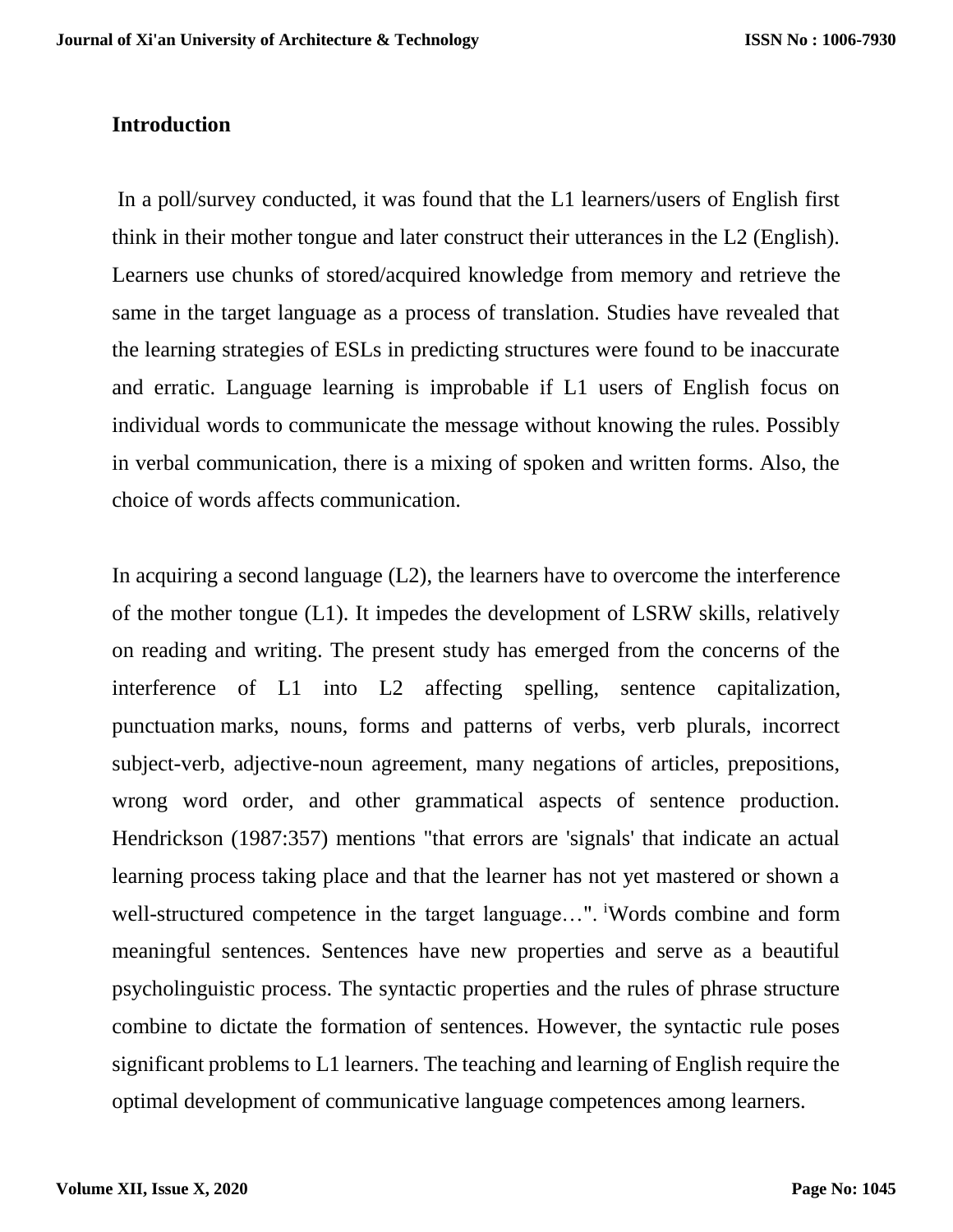### **Introduction**

In a poll/survey conducted, it was found that the L1 learners/users of English first think in their mother tongue and later construct their utterances in the L2 (English). Learners use chunks of stored/acquired knowledge from memory and retrieve the same in the target language as a process of translation. Studies have revealed that the learning strategies of ESLs in predicting structures were found to be inaccurate and erratic. Language learning is improbable if L1 users of English focus on individual words to communicate the message without knowing the rules. Possibly in verbal communication, there is a mixing of spoken and written forms. Also, the choice of words affects communication.

In acquiring a second language  $(L2)$ , the learners have to overcome the interference of the mother tongue (L1). It impedes the development of LSRW skills, relatively on reading and writing. The present study has emerged from the concerns of the interference of L1 into L2 affecting spelling, sentence capitalization, punctuation marks, nouns, forms and patterns of verbs, verb plurals, incorrect subject-verb, adjective-noun agreement, many negations of articles, prepositions, wrong word order, and other grammatical aspects of sentence production. Hendrickson (1987:357) mentions "that errors are 'signals' that indicate an actual learning process taking place and that the learner has not yet mastered or shown a well-structured competence in the target language...". Words combine and form meaningful sentences. Sentences have new properties and serve as a beautiful psycholinguistic process. The syntactic properties and the rules of phrase structure combine to dictate the formation of sentences. However, the syntactic rule poses significant problems to L1 learners. The teaching and learning of English require the optimal development of communicative language competences among learners.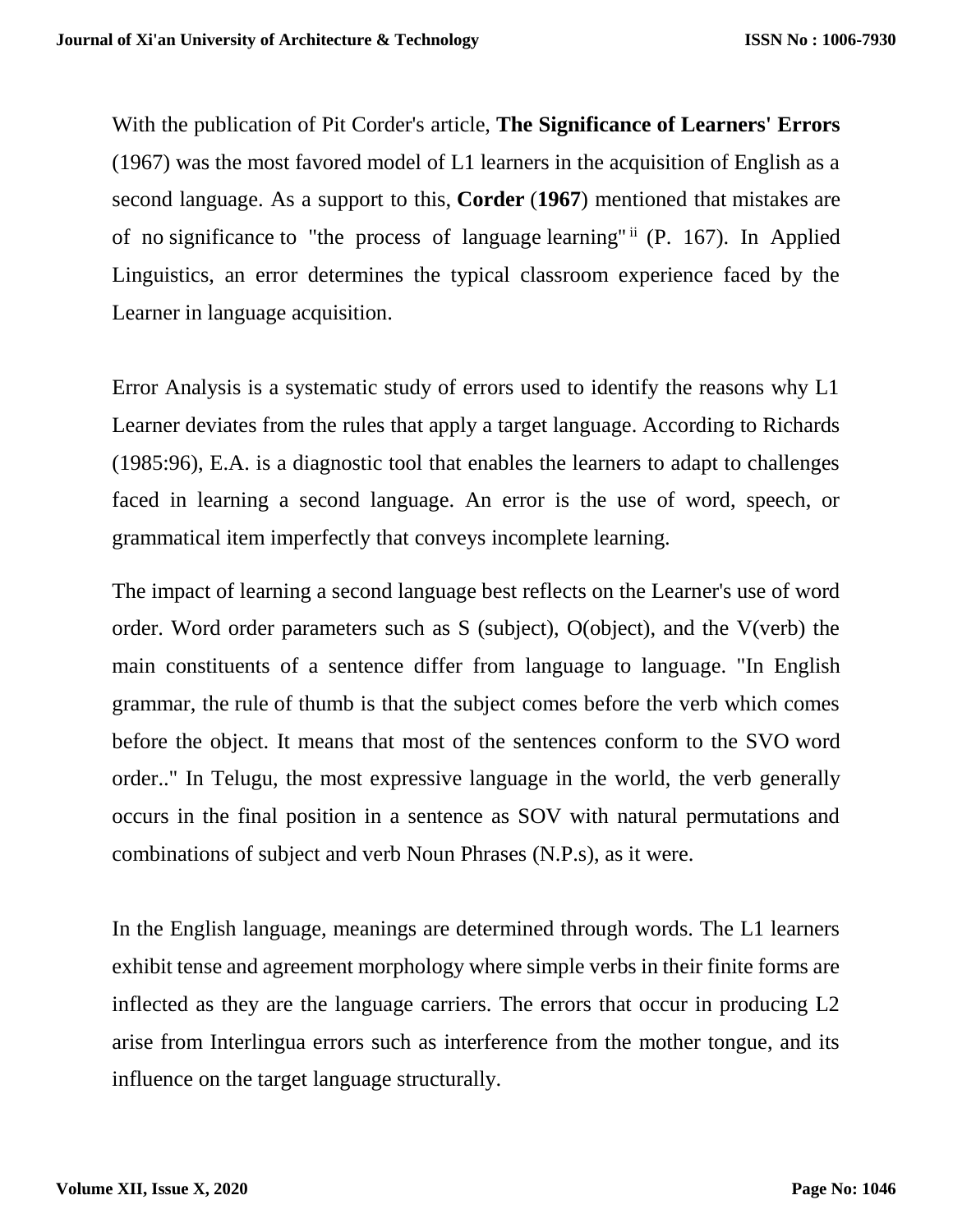With the publication of Pit Corder's article, **The Significance of Learners' Errors** (1967) was the most favored model of L1 learners in the acquisition of English as a second language. As a support to this, **Corder** (**1967**) mentioned that mistakes are of no significance to "the process of language learning" ii (P. 167). In Applied Linguistics, an error determines the typical classroom experience faced by the Learner in language acquisition.

Error Analysis is a systematic study of errors used to identify the reasons why L1 Learner deviates from the rules that apply a target language. According to Richards (1985:96), E.A. is a diagnostic tool that enables the learners to adapt to challenges faced in learning a second language. An error is the use of word, speech, or grammatical item imperfectly that conveys incomplete learning.

The impact of learning a second language best reflects on the Learner's use of word order. Word order parameters such as S (subject), O(object), and the V(verb) the main constituents of a sentence differ from language to language. "In English grammar, the rule of thumb is that the subject comes before the verb which comes before the object. It means that most of the sentences conform to the SVO word order.." In Telugu, the most expressive language in the world, the verb generally occurs in the final position in a sentence as SOV with natural permutations and combinations of subject and verb Noun Phrases (N.P.s), as it were.

In the English language, meanings are determined through words. The L1 learners exhibit tense and agreement morphology where simple verbs in their finite forms are inflected as they are the language carriers. The errors that occur in producing L2 arise from Interlingua errors such as interference from the mother tongue, and its influence on the target language structurally.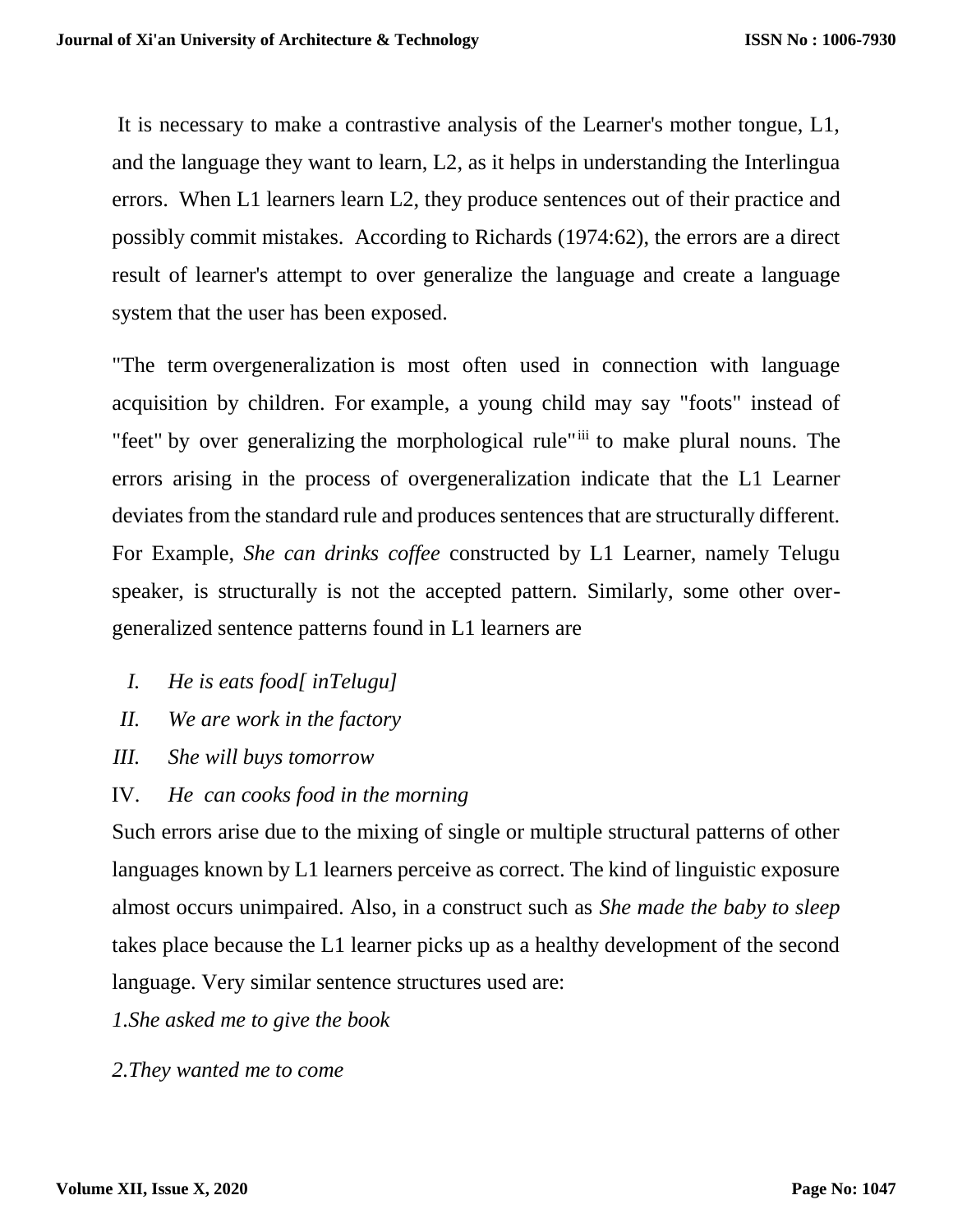It is necessary to make a contrastive analysis of the Learner's mother tongue, L1, and the language they want to learn, L2, as it helps in understanding the Interlingua errors. When L1 learners learn L2, they produce sentences out of their practice and possibly commit mistakes. According to Richards (1974:62), the errors are a direct result of learner's attempt to over generalize the language and create a language system that the user has been exposed.

"The term overgeneralization is most often used in connection with language acquisition by children. For example, a young child may say "foots" instead of "feet" by over generalizing the morphological rule"<sup>iii</sup> to make plural nouns. The errors arising in the process of overgeneralization indicate that the L1 Learner deviates from the standard rule and produces sentences that are structurally different. For Example, *She can drinks coffee* constructed by L1 Learner, namely Telugu speaker, is structurally is not the accepted pattern. Similarly, some other overgeneralized sentence patterns found in L1 learners are

- *I. He is eats food[ inTelugu]*
- *II. We are work in the factory*
- *III. She will buys tomorrow*
- IV. *He can cooks food in the morning*

Such errors arise due to the mixing of single or multiple structural patterns of other languages known by L1 learners perceive as correct. The kind of linguistic exposure almost occurs unimpaired. Also, in a construct such as *She made the baby to sleep* takes place because the L1 learner picks up as a healthy development of the second language. Very similar sentence structures used are:

*1.She asked me to give the book*

*2.They wanted me to come*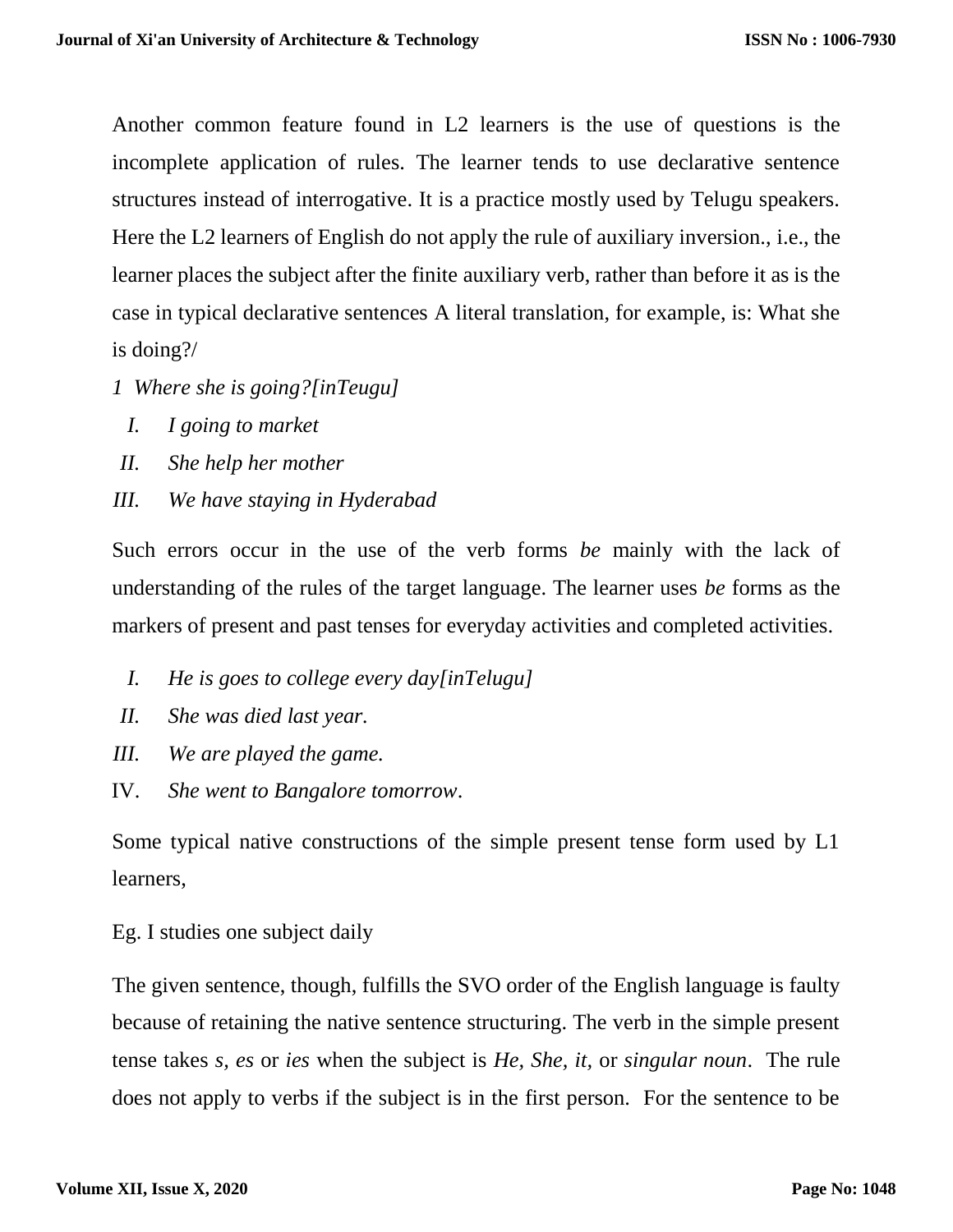Another common feature found in L2 learners is the use of questions is the incomplete application of rules. The learner tends to use declarative sentence structures instead of interrogative. It is a practice mostly used by Telugu speakers. Here the L2 learners of English do not apply the rule of auxiliary inversion., i.e., the learner places the subject after the finite auxiliary verb, rather than before it as is the case in typical declarative sentences A literal translation, for example, is: What she is doing?/

*1 Where she is going?[inTeugu]*

- *I. I going to market*
- *II. She help her mother*
- *III. We have staying in Hyderabad*

Such errors occur in the use of the verb forms *be* mainly with the lack of understanding of the rules of the target language. The learner uses *be* forms as the markers of present and past tenses for everyday activities and completed activities.

- *I. He is goes to college every day[inTelugu]*
- *II. She was died last year.*
- *III. We are played the game.*
- IV. *She went to Bangalore tomorrow*.

Some typical native constructions of the simple present tense form used by L1 learners,

Eg. I studies one subject daily

The given sentence, though, fulfills the SVO order of the English language is faulty because of retaining the native sentence structuring. The verb in the simple present tense takes *s, es* or *ies* when the subject is *He, She, it,* or *singular noun*. The rule does not apply to verbs if the subject is in the first person. For the sentence to be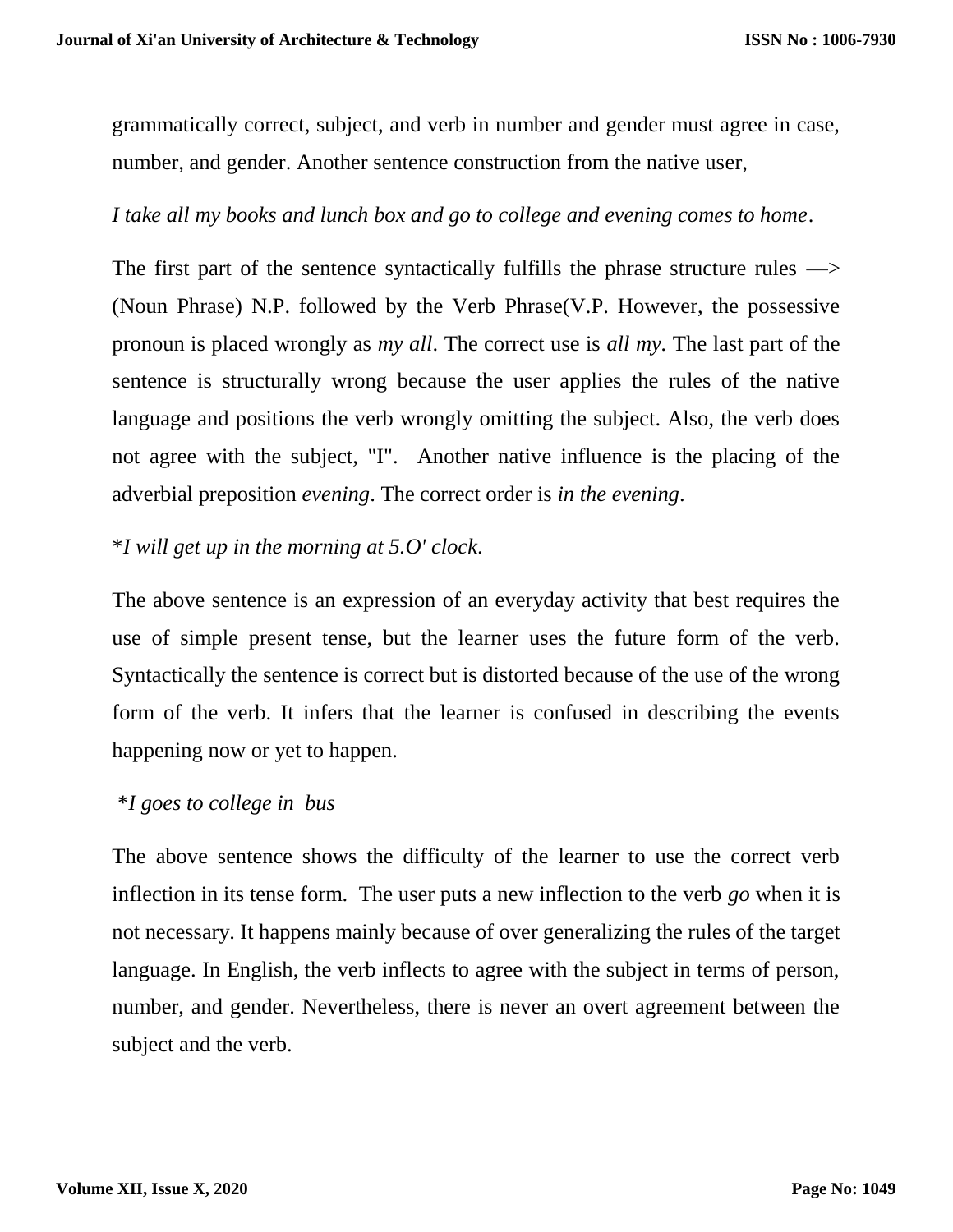grammatically correct, subject, and verb in number and gender must agree in case, number, and gender. Another sentence construction from the native user,

# *I take all my books and lunch box and go to college and evening comes to home*.

The first part of the sentence syntactically fulfills the phrase structure rules  $\rightarrow$ (Noun Phrase) N.P. followed by the Verb Phrase(V.P. However, the possessive pronoun is placed wrongly as *my all*. The correct use is *all my.* The last part of the sentence is structurally wrong because the user applies the rules of the native language and positions the verb wrongly omitting the subject. Also, the verb does not agree with the subject, "I". Another native influence is the placing of the adverbial preposition *evening*. The correct order is *in the evening*.

# \**I will get up in the morning at 5.O' clock*.

The above sentence is an expression of an everyday activity that best requires the use of simple present tense, but the learner uses the future form of the verb. Syntactically the sentence is correct but is distorted because of the use of the wrong form of the verb. It infers that the learner is confused in describing the events happening now or yet to happen.

# \**I goes to college in bus*

The above sentence shows the difficulty of the learner to use the correct verb inflection in its tense form. The user puts a new inflection to the verb *go* when it is not necessary. It happens mainly because of over generalizing the rules of the target language. In English, the verb inflects to agree with the subject in terms of person, number, and gender. Nevertheless, there is never an overt agreement between the subject and the verb.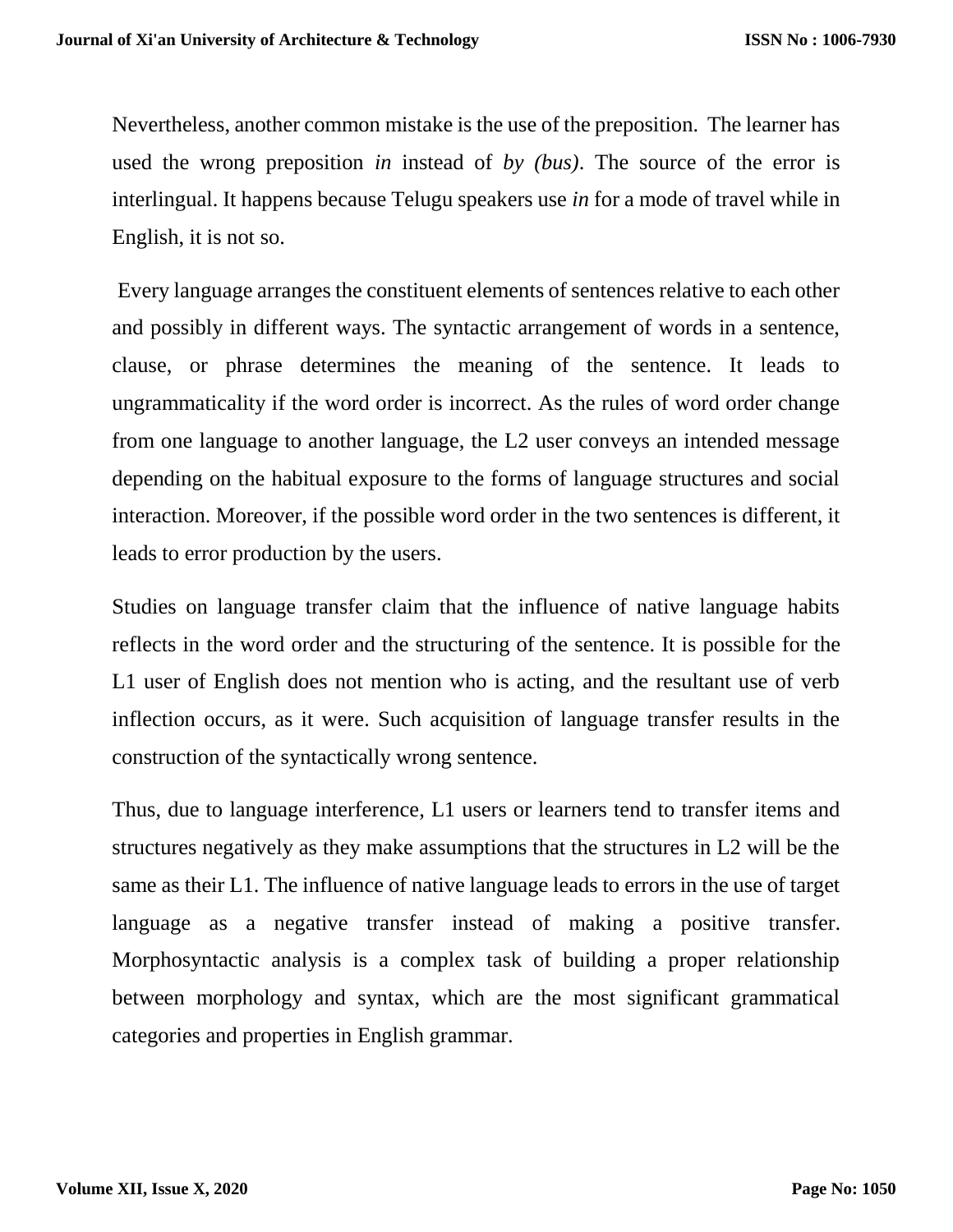Nevertheless, another common mistake is the use of the preposition. The learner has used the wrong preposition *in* instead of *by (bus)*. The source of the error is interlingual. It happens because Telugu speakers use *in* for a mode of travel while in English, it is not so.

Every language arranges the constituent elements of sentences relative to each other and possibly in different ways. The syntactic arrangement of words in a sentence, clause, or phrase determines the meaning of the sentence. It leads to ungrammaticality if the word order is incorrect. As the rules of word order change from one language to another language, the L2 user conveys an intended message depending on the habitual exposure to the forms of language structures and social interaction. Moreover, if the possible word order in the two sentences is different, it leads to error production by the users.

Studies on language transfer claim that the influence of native language habits reflects in the word order and the structuring of the sentence. It is possible for the L1 user of English does not mention who is acting, and the resultant use of verb inflection occurs, as it were. Such acquisition of language transfer results in the construction of the syntactically wrong sentence.

Thus, due to language interference, L1 users or learners tend to transfer items and structures negatively as they make assumptions that the structures in L2 will be the same as their L1. The influence of native language leads to errors in the use of target language as a negative transfer instead of making a positive transfer. Morphosyntactic analysis is a complex task of building a proper relationship between morphology and syntax, which are the most significant grammatical categories and properties in English grammar.